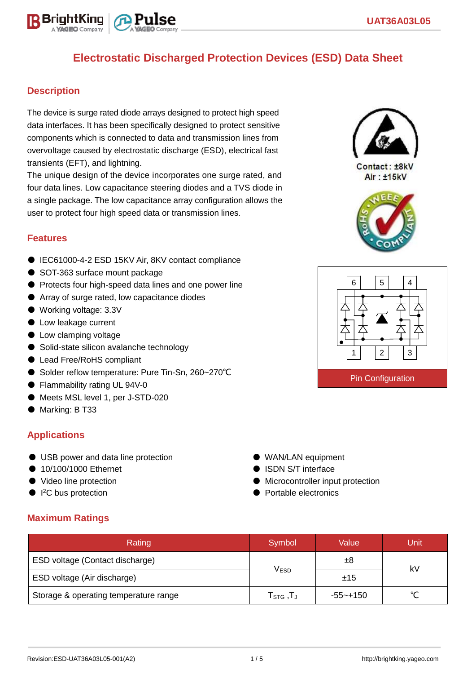# **Electrostatic Discharged Protection Devices (ESD) Data Sheet**

### **Description**

The device is surge rated diode arrays designed to protect high speed data interfaces. It has been specifically designed to protect sensitive components which is connected to data and transmission lines from overvoltage caused by electrostatic discharge (ESD), electrical fast transients (EFT), and lightning.

The unique design of the device incorporates one surge rated, and four data lines. Low capacitance steering diodes and a TVS diode in a single package. The low capacitance array configuration allows the user to protect four high speed data or transmission lines.

#### **Features**

- IEC61000-4-2 ESD 15KV Air, 8KV contact compliance
- SOT-363 surface mount package
- Protects four high-speed data lines and one power line
- Array of surge rated, low capacitance diodes
- Working voltage: 3.3V
- Low leakage current
- Low clamping voltage
- Solid-state silicon avalanche technology
- Lead Free/RoHS compliant
- Solder reflow temperature: Pure Tin-Sn, 260~270°C
- Flammability rating UL 94V-0
- Meets MSL level 1, per J-STD-020
- Marking: B T33

### **Applications**

- USB power and data line protection
- 10/100/1000 Ethernet
- Video line protection
- I<sup>2</sup>C bus protection
- **Maximum Ratings**

| Rating                                | Symbol                                                  | Value    | Unit   |  |
|---------------------------------------|---------------------------------------------------------|----------|--------|--|
| ESD voltage (Contact discharge)       |                                                         | ±8       | kV     |  |
| ESD voltage (Air discharge)           | <b>VESD</b>                                             | ±15      |        |  |
| Storage & operating temperature range | $\mathsf{T}_{\texttt{STG}}\,,\!\mathsf{T}_{\texttt{J}}$ | -55~+150 | $\sim$ |  |



Contact: ±8kV Air: ±15kV





● WAN/LAN equipment ● ISDN S/T interface

● Portable electronics

● Microcontroller input protection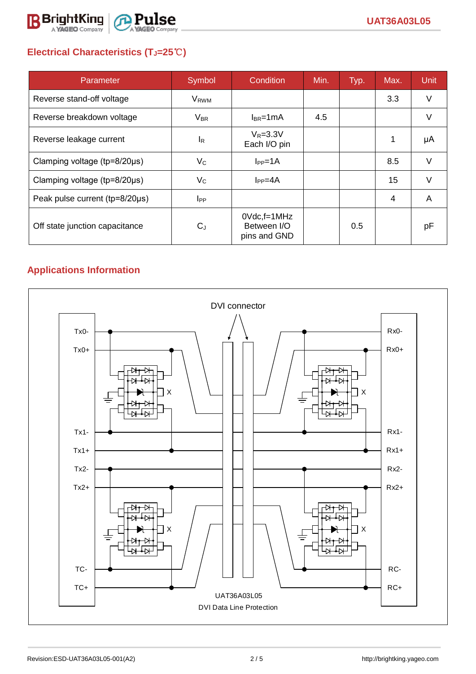

# **Electrical Characteristics (TJ=25**℃**)**

| Parameter                           | Symbol                 | Condition                                         | Min. | Typ. | Max.           | <b>Unit</b> |
|-------------------------------------|------------------------|---------------------------------------------------|------|------|----------------|-------------|
| Reverse stand-off voltage           | <b>V<sub>RWM</sub></b> |                                                   |      |      | 3.3            | V           |
| Reverse breakdown voltage           | $V_{BR}$               | $I_{BR}$ =1mA                                     | 4.5  |      |                | V           |
| Reverse leakage current             | <sup>I</sup> R         | $V_R = 3.3V$<br>Each I/O pin                      |      |      |                | μA          |
| Clamping voltage ( $tp=8/20\mu s$ ) | $V_{\rm C}$            | $I_{PP} = 1A$                                     |      |      | 8.5            | V           |
| Clamping voltage ( $tp=8/20\mu s$ ) | $V_C$                  | $I_{PP}=4A$                                       |      |      | 15             | $\vee$      |
| Peak pulse current (tp=8/20µs)      | $I_{PP}$               |                                                   |      |      | $\overline{4}$ | A           |
| Off state junction capacitance      | $C_{J}$                | $0Vdc$ , f=1 $MHz$<br>Between I/O<br>pins and GND |      | 0.5  |                | рF          |

# **Applications Information**

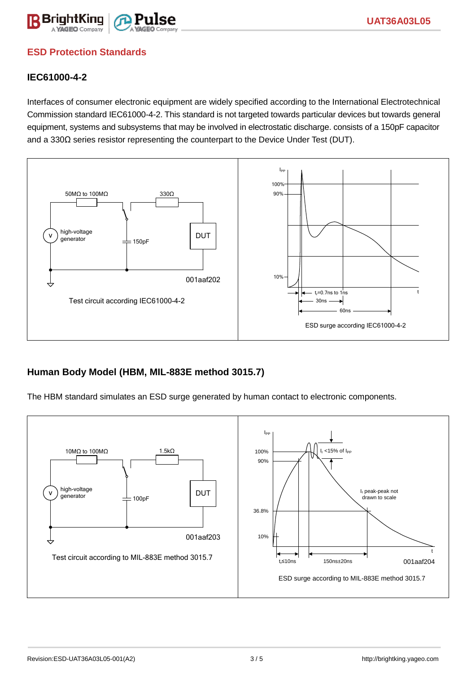

## **ESD Protection Standards**

### **IEC61000-4-2**

Interfaces of consumer electronic equipment are widely specified according to the International Electrotechnical Commission standard IEC61000-4-2. This standard is not targeted towards particular devices but towards general equipment, systems and subsystems that may be involved in electrostatic discharge. consists of a 150pF capacitor and a 330Ω series resistor representing the counterpart to the Device Under Test (DUT).



### **Human Body Model (HBM, MIL-883E method 3015.7)**

The HBM standard simulates an ESD surge generated by human contact to electronic components.

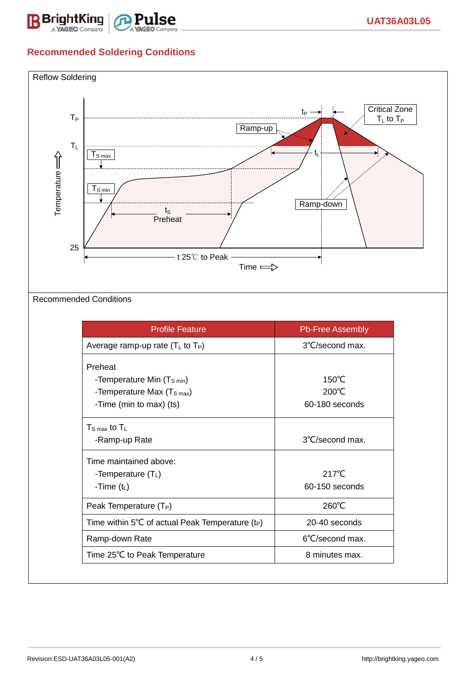

# **Recommended Soldering Conditions**